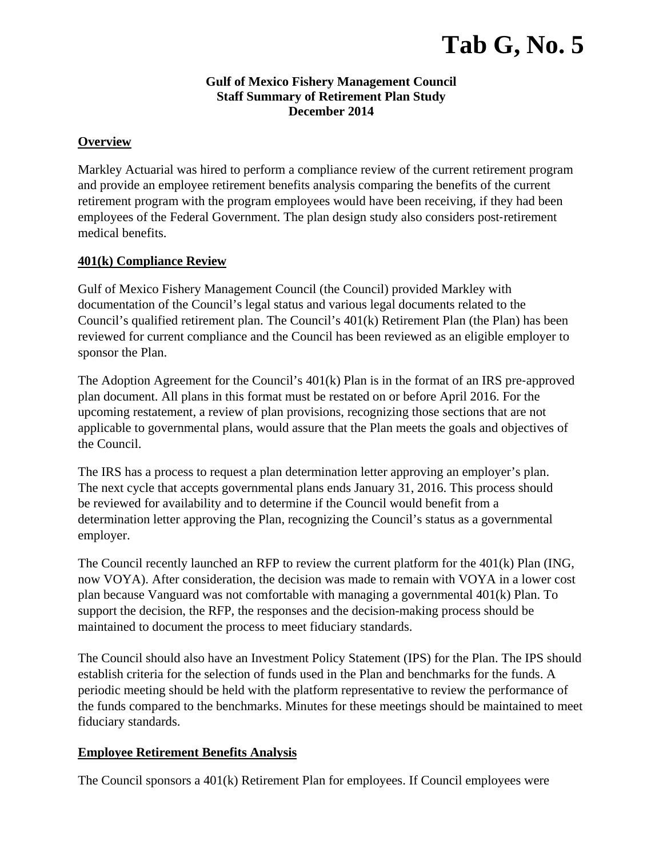# **Tab G, No. 5**

#### **Gulf of Mexico Fishery Management Council Staff Summary of Retirement Plan Study December 2014**

### **Overview**

Markley Actuarial was hired to perform a compliance review of the current retirement program and provide an employee retirement benefits analysis comparing the benefits of the current retirement program with the program employees would have been receiving, if they had been employees of the Federal Government. The plan design study also considers post-retirement medical benefits.

### **401(k) Compliance Review**

Gulf of Mexico Fishery Management Council (the Council) provided Markley with documentation of the Council's legal status and various legal documents related to the Council's qualified retirement plan. The Council's 401(k) Retirement Plan (the Plan) has been reviewed for current compliance and the Council has been reviewed as an eligible employer to sponsor the Plan.

The Adoption Agreement for the Council's 401(k) Plan is in the format of an IRS pre-approved plan document. All plans in this format must be restated on or before April 2016. For the upcoming restatement, a review of plan provisions, recognizing those sections that are not applicable to governmental plans, would assure that the Plan meets the goals and objectives of the Council.

The IRS has a process to request a plan determination letter approving an employer's plan. The next cycle that accepts governmental plans ends January 31, 2016. This process should be reviewed for availability and to determine if the Council would benefit from a determination letter approving the Plan, recognizing the Council's status as a governmental employer.

The Council recently launched an RFP to review the current platform for the 401(k) Plan (ING, now VOYA). After consideration, the decision was made to remain with VOYA in a lower cost plan because Vanguard was not comfortable with managing a governmental 401(k) Plan. To support the decision, the RFP, the responses and the decision-making process should be maintained to document the process to meet fiduciary standards.

The Council should also have an Investment Policy Statement (IPS) for the Plan. The IPS should establish criteria for the selection of funds used in the Plan and benchmarks for the funds. A periodic meeting should be held with the platform representative to review the performance of the funds compared to the benchmarks. Minutes for these meetings should be maintained to meet fiduciary standards.

### **Employee Retirement Benefits Analysis**

The Council sponsors a 401(k) Retirement Plan for employees. If Council employees were